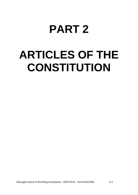# **PART 2**

# **ARTICLES OF THE CONSTITUTION**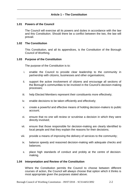# **1.01 Powers of the Council**

The Council will exercise all its powers and duties in accordance with the law and this Constitution. Should there be a conflict between the two, the law will prevail.

#### **1.02 The Constitution**

This Constitution, and all its appendices, is the Constitution of the Borough Council of Worthing.

#### **1.03 Purpose of the Constitution**

The purpose of the Constitution is to:

- i. enable the Council to provide clear leadership to the community in partnership with citizens, businesses and other organisations;
- ii. support the active involvement of citizens and encourage all sections of the Borough's communities to be involved in the Council's decision-making processes;
- iii. help Elected Members represent their constituents more effectively;
- iv. enable decisions to be taken efficiently and effectively;
- v. create a powerful and effective means of holding decision-makers to public account;
- vi. ensure that no one will review or scrutinise a decision in which they were directly involved;
- vii. ensure that those responsible for decision-making are clearly identified to local people and that they explain the reasons for their decisions;
- viii. provide a means of improving the delivery of services to the community;
- ix. balance speedy and reasoned decision-making with adequate checks and balances;
- x. place high standards of conduct and probity at the centre of decisionmaking.

#### **1.04 Interpretation and Review of the Constitution**

Where the Constitution permits the Council to choose between different courses of action, the Council will always choose that option which it thinks is most appropriate given the purposes stated above.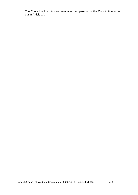The Council will monitor and evaluate the operation of the Constitution as set out in Article 14.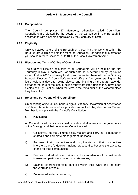# **2.01 Composition**

The Council comprises 37 Members, otherwise called Councillors. Councillors are elected by the voters of the 13 Wards in the Borough in accordance with a scheme approved by the Secretary of State.

# **2.02 Eligibility**

Only registered voters of the Borough or those living or working within the Borough are eligible to hold the office of Councillor. For additional information you should refer to Sections 79 to 81 of the Local Government Act 1972.

# **2.03 Election and Term of Office of Councillors**

The Ordinary Election of a third of all Councillors will be held on the first Thursday in May in each year, or such date as is determined by legislation except that in 2017 and every fourth year thereafter there will be no Ordinary Borough Election. A Councillor's term of office is four years starting on the fourth calendar day after being elected and finishing on the fourth calendar day after the date of the local Election four years later, unless they have been elected at a By-Election, when the term is the remainder of the vacated office they have filled.

# **2.04 Roles and Functions of all Councillors**

On accepting office, all Councillors sign a Statutory Declaration of Acceptance of Office. Acceptance of office provides an implied obligation for an Elected Member to comply with the Council's Constitution.

# **a) Key Roles**

All Councillors will participate constructively and effectively in the governance of the Borough and their local area. Councillors will:

- i) Collectively be the ultimate policy-makers and carry out a number of strategic and corporate management functions;
- ii) Represent their communities and bring the views of their communities into the Council's decision-making process (i.e. become the advocate of and for their communities);
- iii) Deal with individual casework and act as an advocate for constituents in resolving particular concerns or grievances:
- iv) Balance different interests identified within their Ward and represent the Ward as a whole;
- v) Be involved in decision-making;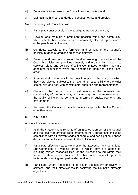- vi) Be available to represent the Council on other bodies; and
- vii) Maintain the highest standards of conduct , ethics and probity.

More specifically, all Councillors will:

- i) Participate constructively in the good governance of the area;
- ii) Develop and maintain a prominent position within the community, which reflects their position as a democratically elected representative of the people within the Ward;
- iii) Contribute actively to the formation and scrutiny of the Council's policies, budget, strategies and service delivery;
- iv) Develop and maintain a sound level of working knowledge of the Council's policies and practices generally and in particular in relation to services, plans and policies affecting Committees to which they are appointed or functions which are delegated to them and to their local area;
- v) Exercise their judgement in the best interests of the Ward for which they were elected, subject to their overriding responsibility to the wider community, and deal with constituents' enquiries and representations;
- vi) Champion the causes which best relate to the interests and sustainability of the community and campaign for the improvement of the quality of life of the community in terms of equity, economy and environment;
- vii) Represent the Council on outside bodies as appointed by the Council or its Executive.

# **b) Key Tasks**

A Councillor's key tasks are to:

- i) Fulfil the statutory requirements of an Elected Member of the Council and the locally determined requirements of the Council itself, including compliance with all relevant codes of conduct and participation in those decisions and activities reserved to the Full Council;
- ii) Participate effectively as a Member of the Executive, any Committee, Sub-Committee or working group to which they are appointed, including related responsibilities for the functions falling within their terms of reference and liaison with other public bodies to promote better understanding and partnership working;
- iii) Participate, where appointed to do so, in the scrutiny or review of services, and their effectiveness in achieving the Council's strategic objectives;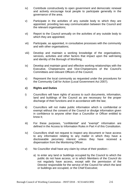- iv) Contribute constructively to open government and democratic renewal and actively encourage local people to participate generally in the governance of the area;
- v) Participate in the activities of any outside body to which they are appointed, providing two-way communication between the Council and the relevant organisations;
- vi) Report to the Council annually on the activities of any outside body to which they are appointed;
- vii) Participate, as appointed, in consultative processes with the community and with other organisations;
- viii) Develop and maintain a working knowledge of the organisations, services, activities and other factors that impact upon the well-being and identity of the Borough of Worthing;
- ix) Develop and maintain good and effective working relationships with the Executive, Chairpersons and Vice-Chairpersons of the Council's Committees and relevant Officers of the Council;
- x) Represent the local community as requested under the procedures for the Community Call for Action (Local Government Act 2007).

# **c) Rights and Duties**

- i) Councillors will have rights of access to such documents, information, land and buildings of the Council as are necessary for the proper discharge of their functions and in accordance with the law;
- ii) Councillors will not make public information which is confidential or exempt without the consent of the Council or divulge information given in confidence to anyone other than a Councillor or Officer entitled to know it;
- iii) For these purposes, "confidential" and "exempt" information are defined in the Access to Information Rules in Part 4 of this Constitution.
- iv) Councillors shall not request to inspect any document or have access to any information relating to any matter in which they have a discloseable pecuniary interest unless they have received a dispensation from the Monitoring Officer.
- v) No Councillor shall have any claim by virtue of their position:
	- a) to enter any land or buildings occupied by the Council to which the public do not have access, or to which Members of the Council do not regularly have access, except with the permission of the Director responsible for the service of the Council for which the land or buildings are occupied, or the Chief Executive;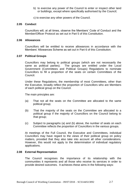b) to exercise any power of the Council to enter or inspect other land or buildings, except where specifically authorised by the Council;

c) to exercise any other powers of the Council.

# **2.05 Conduct**

Councillors will, at all times, observe the Members' Code of Conduct and the Member/Officer Protocol as set out in Part 5 of this Constitution.

### **2.06 Allowances**

Councillors will be entitled to receive allowances in accordance with the Members' Allowances Scheme as set out in Part 6 of this Constitution.

#### **2.07 Political Groups**

Councillors may belong to political groups (which are not necessarily the same as political parties). The groups are entitled under the Local Government (Committees and Political Groups) Regulations to nominate Councillors to fill a proportion of the seats on certain Committees of the Council.

Under these Regulations, the membership of most Committees, other than the Executive, broadly reflect the proportion of Councillors who are Members of each political group on the Council.

The main principles are:

- (a) That not all the seats on the Committee are allocated to the same political group;
- (b) That the majority of the seats on the Committee are allocated to a political group if the majority of Councillors on the Council belong to that group;
- (c) Subject to paragraphs (a) and (b) above, the number of seats on each Committee reflects the proportion of Councillors in the various groups.

At meetings of the Full Council, the Executive and Committees, individual Councillors may have regard to the views of their political group on policy matters, provided that they also take into account all other considerations. However, this would not apply to the determination of individual regulatory applications.

#### **2.08 External Representation**

The Council recognises the importance of its relationship with the communities it represents and all those who receive its services in order to provide desired outcomes. It achieves these aims in the following ways: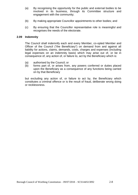- (a) By recognising the opportunity for the public and external bodies to be involved in its business, through its Committee structure and engagement with the community;
- (b) By making appropriate Councillor appointments to other bodies; and
- (c) By ensuring that the Councillor representative role is meaningful and recognises the needs of the electorate.

## **2.09 Indemnity**

The Council shall indemnify each and every Member, co-opted Member and Officer of the Council ("the Beneficiary") on demand from and against all liability for actions, claims, demands, costs, charges and expenses (including legal expenses on an indemnity basis) which may arise out of, or be in consequence of, any action of, or failure to, act by the Beneficiary which is:

- (a) authorised by the Council; or
- (b) forms part of, or arises from, any powers conferred or duties placed upon the Beneficiary as a consequence of any functions being carried on by that Beneficiary

but excluding any action of, or failure to act by, the Beneficiary which constitutes a criminal offence or is the result of fraud, deliberate wrong doing or recklessness.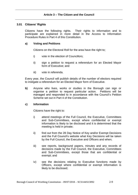# **3.01 Citizens' Rights**

Citizens have the following rights. Their rights to information and to participate are explained in more detail in the Access to Information Procedure Rules in Part 4 of this Constitution.

# **a) Voting and Petitions**

Citizens on the Electoral Roll for the area have the right to;

- i) vote in the election of Councillors;
- ii) sign a petition to request a referendum for an Elected Mayor form of Executive; and
- iii) vote in referenda.

Every year, the Council will publish details of the number of electors required to instigate a referendum for an Elected Mayor form of Executive.

**b)** Anyone who lives, works or studies in the Borough can sign or organise a petition to request particular action. Petitions will be managed and responded to in accordance with the Council's Petition Scheme set out in Part 4 of the Constitution.

# **c) Information**

Citizens have the right to:

- i) attend meetings of the Full Council, the Executive, Committees and Sub-Committees, except where confidential or exempt information is likely to be disclosed and it is determined that the meeting is held in private;
- ii) find out from the 28 Day Notice of Key and/or Exempt Decisions and the Full Council's website what Key Decisions will be taken by the Full Council, the Executive and Officers and when;
- iii) see reports, background papers, minutes and any records of decisions made by the Full Council, the Executive, Committees and Sub-Committees, except those that are confidential or exempt; and
- iv) see the decisions relating to Executive functions made by Officers, except where confidential or exempt information is likely to be disclosed;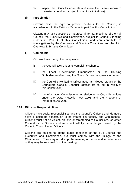v) inspect the Council's accounts and make their views known to the external Auditor (subject to statutory limitations).

# **d) Participation**

Citizens have the right to present petitions to the Council, in accordance with the Petitions Scheme in part 4 of this Constitution.

Citizens may ask questions or address all formal meetings of the Full Council, the Executive and Committees, subject to Council Standing Orders in Part 4 of this Constitution, and can contribute to investigations by the Overview and Scrutiny Committee and the Joint Overview & Scrutiny Committee.

# **e) Complaints**

Citizens have the right to complain to:

- i) the Council itself under its complaints scheme;
- ii) the Local Government Ombudsman or the Housing Ombudsman after using the Council's own complaints scheme;
- iii) the Council's Monitoring Officer about an alleged breach of the Councillors' Code of Conduct (details are set out in Part 5 of this Constitution);
- iv) the Information Commissioner in relation to the Council's actions under the Data Protection Act 1998 and the Freedom of Information Act 2000.

# **3.04 Citizens' Responsibilities**

Citizens have social responsibilities and the Council's Officers and Members have a legitimate expectation to be treated courteously and with respect. Citizens must not be violent, abusive or threatening to Councillors, Co-opted Councillors or Officers and must not wilfully harm things owned by the Council, Councillors or Officers.

Citizens are entitled to attend public meetings of the Full Council, the Executive and Committees, but must comply with the rulings of the Chairperson. They may not disrupt the meeting or cause undue disturbance or they may be removed from the meeting.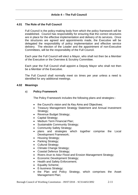# **4.01 The Role of the Full Council**

Full Council is the policy-making body from which the policy framework will be established. Council has responsibility for ensuring that the correct structures are in place for the effective implementation and delivery of its services. Once the structures are agreed and appointments made, the Executive will be delegated the responsibility of policy implementation and effective service delivery. The election of the Leader and the appointment of non-Executive Committees, will be the responsibility of the Full Council.

Each year the Full Council will elect a Mayor, who shall not then be a Member of the Executive or the Overview & Scrutiny Committee.

Each year the Full Council shall appoint a Deputy Mayor who shall not then be a Member of the Executive.

The Full Council shall normally meet six times per year unless a need is identified for any additional meetings.

#### **4.02 Meanings**

# a) **Policy Framework**

The Policy Framework includes the following plans and strategies:-

- the Council's vision and its Key Aims and Objectives;
- Treasury Management Strategy Statement and Annual Investment Strategy;
- Revenue Budget Strategy;
- Capital Strategy;
- Medium Term Financial Plan;
- Sustainable Community Strategy;
- Community Safety Strategy:
- plans and strategies which together comprise the Local Development Framework;
- Housing Strategy;
- Parking Strategy;
- Cultural Strategy;
- Climate Change Strategy;
- Coastal Defence Strategy:
- Rivers Arun to Adur Flood and Erosion Management Strategy;
- Economic Development Strategy;
- Health and Safety Enforcement:
- Equality Scheme;
- E-business Strategy;
- the Plan and Policy Strategy, which comprises the Asset Management Plan;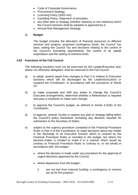- Code of Corporate Governance;
- Procurement Strategy;
- Licensing Policy (2003 Act);
- Gambling Policy: Statement of principles;
- any other plan or strategy (whether statutory or non-statutory) which the Council resolves shall be adopted or approved by it;
- Annual Risk Management Strategy.

# b) **Budget**

The budget includes the allocation of financial resources to different services and projects, proposed contingency funds, the Council Tax base, setting the Council Tax and decisions relating to the control of the Council's borrowing requirements, the control of its capital expenditure and the setting of virement limits.

# **4.03 Functions of the Full Council**

The following functions must not be exercised by the Leader/Executive and, where not otherwise delegated, shall be reserved to the Full Council:

- a) to adopt, amend (apart from changes to Part 3 in relation to Executive functions which will be discharged by the Leader/Executive) or suspend the Constitution, in accordance with the provisions of Article 15;
- b) to make proposals and fulfil any duties to change the Council's Executive arrangements, determine whether a Referendum is required and pass a resolution to make such change;
- c) to approve the Council's budget, as defined in Article 4.02(b) of the Constitution;
- d) to approve, amend, revoke or replace any plan or strategy falling within the Council's policy framework (including any decision required for submission to the Secretary of State);
- e) subject to the urgency procedure contained in the Financial Procedure Rules in Part 4 of this Constitution, to make decisions about any matter in the discharge of an Executive function which is covered by the Financial Procedure Rules or included in the budget, but where the decision-maker is minded to make it in a manner which would be contrary to Financial Procedure Rules or contrary to, or not wholly in accordance with, the budget:
	- where the decision is made under any procedure for the approval of urgent decisions approved by the Council;
	- where departures from the budget:
		- i) are not met from external funding, a contingency or reserve set up for the purpose;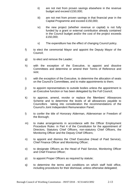- ii) are not met from proven savings elsewhere in the revenue budget and exceed £150,000;
- iii) are not met from proven savings in that financial year in the Capital Programme and exceed £150,000;
- iv) the new project (whether revenue or capital) is not fully funded by a grant or external contribution already contained in the Council budget and/or the cost of the project exceeds £150,000;
- v) The expenditure has the effect of changing Council policy.
- f) to elect the ceremonial Mayor and appoint the Deputy Mayor of the Council;
- g) to elect and remove the Leader;
- h) with the exception of the Executive, to appoint and dissolve Committees and determine or amend their Terms of Reference and size;
- i) with the exception of the Executive, to determine the allocation of seats on the Council's Committees, and to make appointments to them;
- j) to appoint representatives to outside bodies unless the appointment is an Executive function or has been delegated by the Full Council;
- k) to approve, amend, revoke or replace the Members' Allowances Scheme and to determine the levels of all allowances payable to Councillors taking into consideration the recommendations of the Council's Joint Independent Remuneration Panel;
- l) to confer the title of Honorary Alderman, Alderwoman or Freedom of the Borough;
- m) to make arrangements in accordance with the Officer Employment Procedure Rules in Part 4 of the Constitution for the appointment of Directors, Statutory Chief Officers, non-statutory Chief Officers, the Monitoring Officer and the Deputy Chief Officers;
- n) to appoint and dismiss the Chief Executive (Head of Paid Service), Chief Finance Officer and Monitoring Officer;
- o) to designate Officers as the Head of Paid Service, Monitoring Officer and Chief Finance Officer;
- p) to appoint Proper Officers as required by statute;
- q) to determine the terms and conditions on which staff hold office, including procedures for their dismissal, unless otherwise delegated;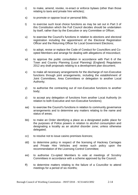- r) to make, amend, revoke, re-enact or enforce bylaws (other than those relating to taxis and private hire vehicles);
- s) to promote or oppose local or personal Bills;
- t) to exercise such local choice functions as may be set out in Part 3 of this Constitution which the Full Council decides should be undertaken by itself, rather than by the Executive or any Committee or Officer;
- u) to exercise the Council's functions in relation to elections and electoral registration including the appointment of the Electoral Registration Officer and the Returning Officer for Local Government Elections;
- v) to adopt, revise or replace the Code of Conduct for Councillors and Coopted Members and arrange for dealing with allegations of misconduct;
- w) to approve the public consultation in accordance with Part 6 of the Town and Country Planning (Local Planning) (England) Regulations 2012 any draft proposals relating to a development plan document;
- x) to make all necessary arrangements for the discharge of non-Executive functions through joint arrangements, including the establishment of Joint Committees, Area Committees or delegation to another Local Authority;
- y) to authorise the contracting out of non-Executive functions to another body;
- z) to accept any delegation of functions from another Local Authority (in relation to both Executive and non-Executive functions);
- aa) to exercise the Council's functions in relation to community governance arrangements and to determine any matters relating to the name and status of areas;
- bb) to make an Order identifying a place as a designated public place for the purposes of Police powers in relation to alcohol consumption and designating a locality as an alcohol disorder zone; unless otherwise delegated;
- cc) to resolve not to issue casino premises licences;
- dd) to determine policy in respect of the licensing of Hackney Carriages and Private Hire Vehicles and review such policy upon the recommendation of the Licensing Control Committee;
- ee) to authorise Co-opted Members to vote at meetings of Scrutiny Committees in accordance with a scheme approved by the Council;
- ff) to determine matters relating to the failure of a Councillor to attend meetings for a period of six months;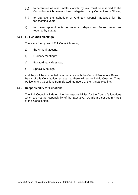- gg) to determine all other matters which, by law, must be reserved to the Council or which have not been delegated to any Committee or Officer;
- hh) to approve the Schedule of Ordinary Council Meetings for the forthcoming year;
- ii) to make appointments to various Independent Person roles; as required by statute.

# **4.04 Full Council Meetings**

There are four types of Full Council Meeting:

- a) the Annual Meeting;
- b) Ordinary Meetings;
- c) Extraordinary Meetings;
- d) Special Meetings;

and they will be conducted in accordance with the Council Procedure Rules in Part 4 of this Constitution, except that there will be no Public Question Time, Petitions and Questions from Elected Members at the Annual Meeting.

# **4.05 Responsibility for Functions**

The Full Council will determine the responsibilities for the Council's functions which are not the responsibility of the Executive. Details are set out in Part 3 of this Constitution.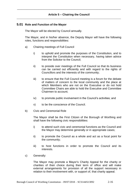# **5.01 Role and Function of the Mayor**

The Mayor will be elected by Council annually.

The Mayor, and in his/her absence, the Deputy Mayor will have the following roles, functions and responsibilities:

- a) Chairing meetings of Full Council
	- i) to uphold and promote the purposes of the Constitution, and to interpret the Constitution when necessary, having taken advice from the Solicitor to the Council;
	- ii) to preside over meetings of the Full Council so that its business can be carried out efficiently and with regard to the rights of Councillors and the interests of the community;
	- iii) to ensure that the Full Council meeting is a forum for the debate of matters of concern to the local community and the place at which Members who are not on the Executive or do not hold Committee Chairs are able to hold the Executive and Committee Chairmen to account;
	- iv) to promote public involvement in the Council's activities; and
	- v) to be the conscience of the Council.
- b) Civic and Ceremonial Role

The Mayor shall be the First Citizen of the Borough of Worthing and shall have the following civic responsibilities:

- i) to attend such civic and ceremonial functions as the Council and the Mayor may determine generally or in appropriate cases;
- ii) to promote the Council as a whole and act as a focal point for the community;
- iii) to host functions in order to promote the Council and its interests.
- c) Generally:

The Mayor may promote a Mayor's Charity Appeal for the charity or charities of their choice during their term of office and will make external arrangements for provision of all the support necessary in relation to their involvement with, or support of, that charity appeal.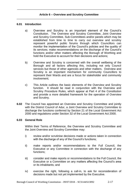# **6.01 Introduction**

- a) Overview and Scrutiny is an important element of the Council's Constitution. The Overview and Scrutiny Committee, Joint Overview and Scrutiny Committee, Sub-Committees and/or panels which may be established from time to time to carry out overview and scrutiny represent powerful public forums through which Councillors can monitor the implementation of the Council's policies and the quality of its services; make recommendations on the discharge of the Council's functions and/or other matters affecting the Borough of Worthing and hold the Executive to account for their decisions and actions;
- b) Overview and Scrutiny is concerned with the overall wellbeing of the Borough and all factors affecting this, including not only Council services but those of other agencies and other matters. Overview and Scrutiny is an important mechanism for community Councillors to represent their Wards and are a focus for stakeholder and community involvement;
- c) This Article outlines the basic elements of the Overview and Scrutiny function. It should be read in conjunction with the Overview and Scrutiny Procedure Rules, which appear at Part 4 of the Constitution and provide a more detailed framework for the operation of Overview and Scrutiny.
- **6.02** The Council has appointed an Overview and Scrutiny Committee and jointly with the District Council of Adur, a Joint Overview and Scrutiny Committee to discharge the functions conferred by Section 21 of the Local Government Act 2000 and regulations under Section 32 of the Local Government Act 2000.

# **6.03 General Role**

Within their Terms of Reference, the Overview and Scrutiny Committee and the Joint Overview and Scrutiny Committee may:

- i) review and/or scrutinise decisions made or actions taken in connection with the discharge of any of the Council's functions;
- ii) make reports and/or recommendations to the Full Council, the Executive or any Committee in connection with the discharge of any functions;
- iii) consider and make reports or recommendations to the Full Council, the Executive or a Committee on any matters affecting the Council's area or its inhabitants; and
- iv) exercise the right, following a call-in, to ask for reconsideration of decisions made but not yet implemented by the Executive.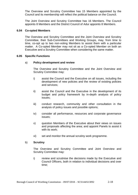The Overview and Scrutiny Committee has 15 Members appointed by the Council and its membership will reflect the political balance on the Council.

The Joint Overview and Scrutiny Committee has 16 Members. The Council appoints 8 Members and the District Council of Adur appoints 8 Members.

#### **6.04 Co-opted Members**

The Overview and Scrutiny Committee and the Joint Overview and Scrutiny Committee, their Sub-Committees and Working Groups, may, from time to time, co-opt up to two non-voting Members to assist them with a particular matter. A Co-opted Member may not sit as a Co-opted Member on both an Executive and a Scrutiny Committee when considering the same matter.

#### **6.05 Specific Functions**

#### a) **Policy development and review**

The Overview and Scrutiny Committee and the Joint Overview and Scrutiny Committee may:

- i) assist the Council and the Executive on all issues, including the development of new policies and the review of existing policies and services;
- ii) assist the Council and the Executive in the development of its budget and policy framework by in-depth analysis of policy issues;
- iii) conduct research, community and other consultation in the analysis of policy issues and possible options;
- iv) consider all performance, resources and corporate governance issues;
- v) question Members of the Executive about their views on issues and proposals affecting the area; and appoint Panels to assist it with its work;
- vi) set and monitor the annual scrutiny work programme.

#### b) **Scrutiny**

The Overview and Scrutiny Committee and Joint Overview and Scrutiny Committee may:

i) review and scrutinise the decisions made by the Executive and Council Officers, both in relation to individual decisions and over time;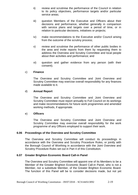- ii) review and scrutinise the performance of the Council in relation to its policy objectives, performance targets and/or particular service areas;
- iii) question Members of the Executive and Officers about their decisions and performance, whether generally in comparison with service plans and targets over a period of time, or in relation to particular decisions, initiatives or projects;
- iv) make recommendations to the Executive and/or Council arising from the outcome of the scrutiny process;
- v) review and scrutinise the performance of other public bodies in the area and invite reports from them by requesting them to address the Overview and Scrutiny Committee and local people about their activities and performance; and
- vi) question and gather evidence from any person (with their consent).

# c) **Finance**

The Overview and Scrutiny Committee and Joint Overview and Scrutiny Committee may exercise overall responsibility for any finances made available to it.

# d) **Annual Report**

The Overview and Scrutiny Committee and Joint Overview and Scrutiny Committee must report annually to Full Council on its workings and make recommendations for future work programmes and amended working methods, if appropriate.

# e) **Officers**

The Overview and Scrutiny Committee and Joint Overview and Scrutiny Committee may exercise overall responsibility for the work programme of any Officers employed to support their work.

# **6.06 Proceedings of the Overview and Scrutiny Committee**

The Overview and Scrutiny Committee will conduct its proceedings in accordance with the Overview and Scrutiny Procedure Rules, or jointly with the Borough Council of Worthing in accordance with the Joint Overview and Scrutiny Procedure Rules set out in Part 4 of this Constitution.

# **6.07 Greater Brighton Economic Board Call-in Panel**

The Overview and Scrutiny Committee will appoint one of its Members to be a Member of the Greater Brighton Economic Board Call-in Panel, who is not a Member, nor a substitute Member, of the Greater Brighton Economic Board. The function of this Panel will be to consider decisions made, but not yet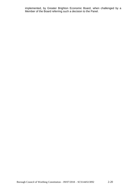implemented, by Greater Brighton Economic Board, when challenged by a Member of the Board referring such a decision to the Panel.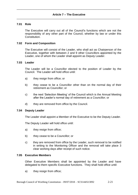# **7.01 Role**

The Executive will carry out all of the Council's functions which are not the responsibility of any other part of the Council, whether by law or under this Constitution.

# **7.02 Form and Composition**

The Executive will consist of the Leader, who shall act as Chairperson of the Executive, together with between 2 and 9 other Councillors appointed by the Leader, one of whom the Leader shall appoint as Deputy Leader.

# **7.03 Leader**

The Leader will be a Councillor elected to the position of Leader by the Council. The Leader will hold office until:

- a) they resign from office; or
- b) they cease to be a Councillor other than on the normal day of their retirement as Councillor; or
- c) the next 'Selection Meeting' of the Council which is the Annual Meeting after the Leader's normal day of retirement as a Councillor; or
- d) they are removed from office by the Council.

# **7.04 Deputy Leader**

The Leader shall appoint a Member of the Executive to be the Deputy Leader.

The Deputy Leader will hold office until:

- a) they resign from office;
- b) they cease to be a Councillor; or
- c) they are removed from office by the Leader, such removal to be notified in writing to the Monitoring Officer and the removal will take place 3 clear working days after receipt of such notice.

#### **7.05 Executive Members**

Other Executive Members shall be appointed by the Leader and have delegated to them specific Executive functions. They shall hold office until:

a) they resign from office: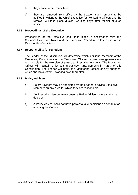- b) they cease to be Councillors;
- c) they are removed from office by the Leader; such removal to be notified in writing to the Chief Executive (or Monitoring Officer) and the removal will take place 3 clear working days after receipt of such notice.

# **7.06 Proceedings of the Executive**

Proceedings of the Executive shall take place in accordance with the Council's Procedure Rules and the Executive Procedure Rules, as set out in Part 4 of this Constitution.

# **7.07 Responsibility for Functions**

The Leader, at their discretion, will determine which individual Members of the Executive, Committees of the Executive, Officers or joint arrangements are responsible for the exercise of particular Executive functions. The Monitoring Officer will maintain a list setting out such arrangements in Part 3 of this Constitution. The Leader will notify the Monitoring Officer of any changes, which shall take effect 3 working days thereafter.

#### **7.08 Policy Advisers**

- a) Policy Advisers may be appointed by the Leader to advise Executive Members on any area for which they are responsible.
- b) An Executive Member may consult a Policy Adviser before making a decision.
- c) A Policy Adviser shall not have power to take decisions on behalf of or affecting the Council.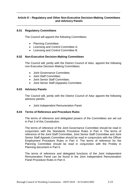# **Article 8 – Regulatory and Other Non-Executive Decision-Making Committees and Advisory Panels**

\_\_\_\_\_\_\_\_\_\_\_\_\_\_\_\_\_\_\_\_\_\_\_\_\_\_\_\_\_\_\_\_\_\_\_\_\_\_\_\_\_\_\_\_\_\_\_\_\_\_\_\_\_\_\_\_\_\_\_\_\_\_\_\_\_\_\_

\_\_\_\_\_\_\_\_\_\_\_\_\_\_\_\_\_\_\_\_\_\_\_\_\_\_\_\_\_\_\_\_\_\_\_\_\_\_\_\_\_\_\_\_\_\_\_\_\_\_\_\_\_\_\_\_\_\_\_\_\_\_\_\_\_\_\_

# **8.01 Regulatory Committees**

The Council will appoint the following Committees:

- Planning Committee;
- Licensing and Control Committee A;
- Licensing and Control Committee B.

# **8.02 Non-Executive Decision-Making Committees**

The Council will, jointly with the District Council of Adur, appoint the following non-Executive Decision Making Committees:

- Joint Governance Committee;
- Joint Staff Committee:
- Joint Senior Staff Committee;
- Joint Senior Staff (Appeals) Committee.

# **8.03 Advisory Panels**

The Council will, jointly with the District Council of Adur appoint the following advisory panels:

Joint Independent Remuneration Panel.

# **8.04 Terms of Reference and Procedure Rules**

The terms of reference and delegated powers of the Committees are set out in Part 3 of this Constitution.

The terms of reference of the Joint Governance Committee should be read in conjunction with the Standards Procedure Rules in Part 4. The terms of reference of the Joint Staff Committee, Joint Senior Staff Committee and Joint Senior Staff Appeals Committee should be read in conjunction with the Officer Employment Procedure Rules in Part 4. The terms of reference for the Planning Committee should be read in conjunction with the Probity in Planning document in Part 5.

The terms of reference and delegated functions of the Joint Independent Remuneration Panel can be found in the Joint Independent Remuneration Panel Procedure Rules in Part 4.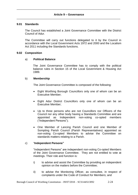#### **9.01 Standards**

The Council has established a Joint Governance Committee with the District Council of Adur.

The Committee will carry out functions delegated to it by the Council in accordance with the Local Government Acts 1972 and 2000 and the Localism Act 2011 including the Standards functions.

#### **9.02 Composition**

#### a) **Political Balance**

The Joint Governance Committee has to comply with the political balance rules in Section 15 of the Local Government & Housing Act 1989.

#### b) **Membership**

The Joint Governance Committee is composed of the following:

- Eight Worthing Borough Councillors only one of whom can be an Executive Member;
- Eight Adur District Councillors only one of whom can be an Executive Member;
- Up to three persons who are not Councillors nor Officers of the Council nor any other body having a Standards Committee and are appointed as Independent non-voting co-opted members ("Independent Persons");
- One Member of Lancing Parish Council and one Member of Sompting Parish Council (Parish Representatives) appointed as non-voting Co-opted Members to advise the Committee on standards matters relating to a Parish.

# c) "**Independent Persons"**

"Independent Persons" are independent non-voting Co-opted Members of the Joint Governance Committee. They are not entitled to vote at meetings. Their role and function is:

- i) to advise and assist the Committee by providing an independent opinion on the matters before the Committee;
- ii) to advise the Monitoring Officer, as consultee, in respect of complaints under the Code of Conduct for Members; and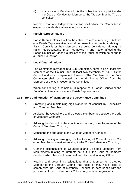iii) to advise any Member who is the subject of a complaint under the Code of Conduct for Members, (the "Subject Member"), as a consultee.

Not more than one Independent Person shall advise the Committee in respect of standards matters at any one time.

## d) **Parish Representatives**

Parish Representatives will not be entitled to vote at meetings. At least one Parish Representative should be present when matters relating to Parish Councils or their Members are being considered, although a Parish Representative must not advise in any matter affecting the Parish Council or Parish Councillors of the Parish of which he or she is a Parish Councillor.

#### e) **Local Determinations**

The Committee may appoint a Sub-Committee, comprising at least two Members of the Council, and at least two Members of Adur District Council and one Independent Person. The Members of the Sub-Committee shall be selected by the Monitoring Officer from the Members of the Joint Governance Committee.

When considering a complaint in respect of a Parish Councillor the Sub-Committee shall include a Parish Representative.

## **9.03 Role and Function of Members of the Governance Committee**

- a) Promoting and maintaining high standards of conduct by Councillors and Co-opted Members;
- b) Assisting the Councillors and Co-opted Members to observe the Code of Members Conduct;
- c) Advising the Council on the adoption, or revision, or replacement of the Code of Members' Conduct;
- d) Monitoring the operation of the Code of Members' Conduct;
- e) Advising, training or arranging for the training of Councillors and Coopted Members on matters relating to the Code of Members Conduct;
- f) Granting dispensations to Councillors and Co-opted Members from requirements relating to interests set out in the Code of Members Conduct, which have not been dealt with by the Monitoring Officer.
- g) Hearing and determining allegations that a Member or Co-opted Member of the Borough Council has failed or may have failed to comply with the Code of Members' Conduct in accordance with the provisions of the Localism Act 2011 and any relevant regulations;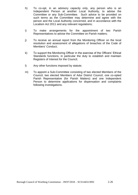- h) To co-opt, in an advisory capacity only, any person who is an Independent Person at another Local Authority, to advise the Committee or any Sub-Committee. Such advice to be provided on such terms as the Committee may determine and agree with the person and the Local Authority concerned, and in accordance with the Localism Act 2011 and any relevant regulations;
- i) To make arrangements for the appointment of two Parish Representatives to advise the Committee on Parish matters;
- j) To receive an annual report from the Monitoring Officer on the local resolution and assessment of allegations of breaches of the Code of Members' Conduct;
- k) To support the Monitoring Officer in the exercise of the Officers' Ethical Standards functions, in particular the duty to establish and maintain Registers of Interest for the Council;
- l) Any other functions imposed by statute;
- m) To appoint a Sub-Committee consisting of two elected Members of the Council, two elected Members of Adur District Council, one co-opted Parish Representative (for Parish Matters) and one Independent Person to determine applications for dispensation and complaints following investigations.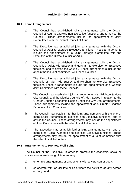#### **10.1 Joint Arrangements**

- a) The Council has established joint arrangements with the District Council of Adur to exercise non-Executive functions, and to advise the Council. These arrangements include the appointment of Joint Committees with the District Council of Adur.
- b) The Executive has established joint arrangements with the District Council of Adur to exercise Executive functions. These arrangements include the appointment of a Joint Strategic Committee with the Executive of the District Council of Adur.
- c) The Council has established joint arrangements with the District Councils of Adur, Mid-Sussex and Horsham to exercise non-Executive functions, and to advise the Council. These arrangements include the appointment a joint committee with these Councils
- d) The Executive has established joint arrangements with the District Councils of Adur, Mid-Sussex and Horsham to exercise Executive functions These arrangements include the appointment of a Census Joint Committee with these Councils.
- e) The Council has established joint arrangements with Brighton & Hove City Council, and the District Councils of Adur, Lewes in relation to the Greater Brighton Economic Region under the City Deal arrangements. These arrangements include the appointment of a Greater Brighton Economic Joint Committee.
- f) The Council may establish further joint arrangements with the one or more Local Authorities to exercise non-Executive functions, and to advise the Council. These arrangements may include the appointment of Joint Committees with the other Local Authorities.
- g) The Executive may establish further joint arrangements with one or more other Local Authorities to exercise Executive functions. These arrangements may include the appointment of a Joint Committee with the other Local Authorities.

#### **10.2 Arrangements to Promote Well-Being**

The Council or the Executive, in order to promote the economic, social or environmental well-being of its area, may:

- a) enter into arrangements or agreements with any person or body;
- b) co-operate with, or facilitate or co-ordinate the activities of, any person or body; and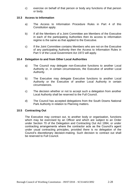c) exercise on behalf of that person or body any functions of that person or body.

# **10.3 Access to Information**

- a) The Access to Information Procedure Rules in Part 4 of this Constitution apply.
- b) If all the Members of a Joint Committee are Members of the Executive in each of the participating Authorities then its access to information regime is the same as that applied to the Executive.
- c) If the Joint Committee contains Members who are not on the Executive of any participating Authority then the Access to Information Rules in Part V of the Local Government Act 1972 will apply.

# **10.4 Delegation to and from Other Local Authorities**

- a) The Council may delegate non-Executive functions to another Local Authority or, in certain circumstances, the Executive of another Local Authority.
- b) The Executive may delegate Executive functions to another Local Authority or the Executive of another Local Authority in certain circumstances.
- c) The decision whether or not to accept such a delegation from another Local Authority shall be reserved to the Full Council.
- d) The Council has accepted delegations from the South Downs National Park Authority in relation to Planning matters.

# **10.5 Contracting Out**

The Executive may contract out, to another body or organisation, functions which may be exercised by an Officer and which are subject to an Order under Section 70 of the Delegation and Contracting Out Act 1994, or under contracting arrangements where the contractor acts as the Council's agent under usual contracting principles, provided there is no delegation of the Council's discretionary decision-making. Such decision to contract out shall be reserved to Full Council.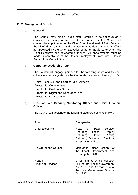# **Article 11 – Officers** \_\_\_\_\_\_\_\_\_\_\_\_\_\_\_\_\_\_\_\_\_\_\_\_\_\_\_\_\_\_\_\_\_\_\_\_\_\_\_\_\_\_\_\_\_\_\_\_\_\_\_\_\_\_\_\_\_\_\_\_\_\_\_\_\_\_\_

\_\_\_\_\_\_\_\_\_\_\_\_\_\_\_\_\_\_\_\_\_\_\_\_\_\_\_\_\_\_\_\_\_\_\_\_\_\_\_\_\_\_\_\_\_\_\_\_\_\_\_\_\_\_\_\_\_\_\_\_\_\_\_\_\_\_\_

#### **11.01 Management Structure**

#### a) **General**

The Council may employ such staff (referred to as Officers) as it considers necessary to carry out its functions. The Full Council will confirm the appointment of the Chief Executive (Head of Paid Service), the Chief Finance Officer and the Monitoring Officer. All other staff will be appointed by the Chief Executive or by an individual to whom the Chief Executive has delegated authority. All appointments must be made in compliance of the Officer Employment Procedure Rules in Part 4 of the Constitution.

#### b) **Corporate Leadership Team**

The Council will engage persons for the following posts and they will collectively be designated as the Corporate Leadership Team ("CLT"):-

Chief Executive (and Head of Paid Service); Director for Communities; Director for Customer Services; Director for Digital and Resources; and Director for the Economy

# c) **Head of Paid Service, Monitoring Officer and Chief Financial Officer**

The Council will designate the following statutory posts as shown:-

| Post                                 | <b>Designation</b>                                                                                                                                        |
|--------------------------------------|-----------------------------------------------------------------------------------------------------------------------------------------------------------|
| <b>Chief Executive</b>               | Head of Paid Service,<br>Returning Officer, Deputy<br>Returning Officer, Acting<br><b>Returning Officer and Electoral</b><br><b>Registration Officer.</b> |
| Solicitor to the Council             | Monitoring Officer (Section 5 of<br>the Local Government and<br>Housing Act 1989).                                                                        |
| Head of<br><b>Financial Services</b> | Chief Finance Officer (Section<br>151 of the Local Government<br>Act 1972 and Section 114 of<br>the Local Government Finance<br>Act 1982)                 |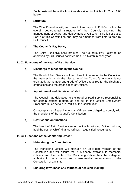Such posts will have the functions described in Articles 11.02 – 11.04 below.

#### d) **Structure**

The Chief Executive will, from time to time, report to Full Council on the overall departmental structure of the Council, showing the management structure and deployment of Officers. This is set out at Part 7 of this Constitution and may be amended from time to time by Full Council.

# e) **The Council's Pay Policy**

The Chief Executive shall produce The Council's Pay Policy to be approved by Full Council not later than 31<sup>st</sup> March in each year.

# **11.02 Functions of the Head of Paid Service**

#### a) **Discharge of functions by the Council**

The Head of Paid Service will from time to time report to the Council on the manner in which the discharge of the Council's functions is coordinated, the number and grade of Officers required for the discharge of functions and the organisation of Officers.

#### b) **Appointment and dismissal of staff**

The Council has delegated to the Head of Paid Service responsibility for certain staffing matters as set out in the Officer Employment Procedure Rules set out in Part 4 of the Constitution.

On acceptance of appointment all Officers are obliged to comply with the provisions of the Council's Constitution.

#### c) **Restrictions on functions**

The Head of Paid Service cannot be the Monitoring Officer but may hold the post of Chief Finance Officer, if a qualified accountant.

#### **11.03 Functions of the Monitoring Officer**

#### a) **Maintaining the Constitution**

The Monitoring Officer will maintain an up-to-date version of the Constitution and will ensure that it is openly available to Members, Officers and the public. The Monitoring Officer has the delegated authority to make minor and consequential amendments to the Constitution at any time.

# b) **Ensuring lawfulness and fairness of decision-making**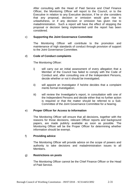After consulting with the Head of Paid Service and Chief Finance Officer, the Monitoring Officer will report to the Council, or to the Executive in relation to any Executive decision, if he or she considers that any proposal, decision or omission would give rise to unlawfulness, or if any decision or omission has given rise to maladministration. Such a report will have the effect of stopping the proposal or decision being implemented until the report has been considered.

# c) **Supporting the Joint Governance Committee**

The Monitoring Officer will contribute to the promotion and maintenance of high standards of conduct through provision of support to the Joint Governance Committee.

# d) **Code of Conduct complaints**

The Monitoring Officer:

- i) will carry out an initial assessment of every allegation that a Member of the Council has failed to comply with the Code of Conduct and, after consulting one of the Independent Persons, decide whether or not it should be investigated;
- ii) will appoint an Investigator if he/she decides that a complaint merits formal investigation;
- iii) will review the Investigator's report, in consultation with one of the Independent Persons and decide either that no further action is required or that the matter should be referred to a Sub-Committee of the Joint Governance Committee for a hearing.

# e) **Proper Officer for Access to Information**

The Monitoring Officer will ensure that all decisions, together with the reasons for those decisions, relevant Officer reports and background papers, are made publicly available as soon as possible. The Monitoring Officer will be the Proper Officer for determining whether information should be exempt.

# f) **Providing advice**

The Monitoring Officer will provide advice on the scope of powers and authority to take decisions and maladministration issues to all Members.

# g) **Restrictions on posts**

The Monitoring Officer cannot be the Chief Finance Officer or the Head of Paid Service.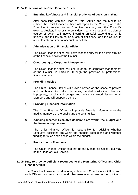# **11.04 Functions of the Chief Finance Officer**

# a) **Ensuring lawfulness and financial prudence of decision-making.**

After consulting with the Head of Paid Service and the Monitoring Officer, the Chief Finance Officer will report to the Council, or to the Executive in relation to an Executive function, and the Council's external Auditor, if he or she considers that any proposal, decision or course of action will involve incurring unlawful expenditure, or is unlawful and is likely to cause a loss or deficiency, or if the Council is about to enter an item of account unlawfully.

# b) **Administration of Financial Affairs**

The Chief Finance Officer will have responsibility for the administration of the financial affairs of the Council.

# c) **Contributing to Corporate Management**

The Chief Finance Officer will contribute to the corporate management of the Council, in particular through the provision of professional financial advice.

# d) **Providing Advice**

The Chief Finance Officer will provide advice on the scope of powers and authority to take decisions, maladministration, financial impropriety, probity and budget and policy framework issues to all Members and will support Council.

# e) **Providing Financial Information**

The Chief Finance Officer will provide financial information to the media, members of the public and the community.

# f) **Advising whether Executive decisions are within the budget and the financial regulations**

The Chief Finance Officer is responsible for advising whether Executive decisions are within the financial regulations and whether funding for such decisions is within the budget.

# g) **Restriction on Functions**

The Chief Finance Officer shall not be the Monitoring Officer, but may be the Head of Paid Service.

# **11.05 Duty to provide sufficient resources to the Monitoring Officer and Chief Finance Officer**

The Council will provide the Monitoring Officer and Chief Finance Officer with such Officers, accommodation and other resources as are, in the opinion of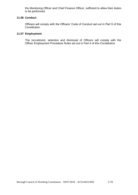the Monitoring Officer and Chief Finance Officer, sufficient to allow their duties to be performed.

# **11.06 Conduct**

Officers will comply with the Officers' Code of Conduct set out in Part 5 of this Constitution.

# **11.07 Employment**

The recruitment, selection and dismissal of Officers will comply with the Officer Employment Procedure Rules set out in Part 4 of this Constitution.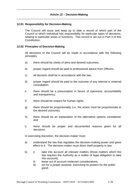## **12.01 Responsibility for Decision-Making**

The Council will issue and keep up to date a record of which part of the Council or which individual has responsibility for particular types of decisions, relating to particular areas or functions. This record is set out in Part 3 of this Constitution.

#### **12.02 Principles of Decision-Making**

All decisions of the Council will be made in accordance with the following principles:

- a) there should be clarity of aims and desired outcomes;
- b) proper regard should be paid to professional advice from Officers;
- c) all decision shall be in accordance with the law;
- d) proper regard should be paid to the outcome of any internal or external consultation;
- e there should be a presumption in favour of openness, accountability and transparency;
- f) there should be respect for human rights:
- g) there should be proportionality (i.e. the action must be proportionate to the desired outcome);
- h) there should be an explanation of the alternative options considered; and
- i) there should be proper and documented reasons given for all decisions.

In exercising discretion, the decision-maker must:

- a) understand the law that regulates the decision-making power and gives effect to it. The decision-maker must direct itself properly in law;
- b) i) take into account all relevant matters (those matters which the law requires the Authority as a matter of legal obligation to take into account);
	- ii) leave out of account irrelevant considerations:
	- iii) act for a proper purpose, exercising its powers for the public good;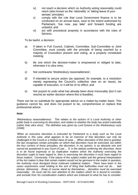- iv) not reach a decision which no Authority acting reasonably could reach (also known as the 'rationality' or 'taking leave of your senses' principle);
- v) comply with the rule that Local Government finance is to be conducted on an annual basis, save to the extent authorised by Parliament, 'live now, pay later' and forward funding are unlawful; and
- vi) act with procedural propriety in accordance with the rules of fairness.

To be lawful, a decision:

- a) If taken in Full Council, Cabinet, Committee, Sub-Committee or Joint Committee, must comply with the principle of being reached by a majority of Councillors present and voting, at a properly constituted meeting;
- b) Be one which the decision-maker is empowered or obliged to take, otherwise it is ultra vires;
- c) Not contravene 'Wednesbury reasonableness';
- d) If intended to secure action (as opposed, for example, to a resolution merely expressing the Council's collective view on an issue), be capable of execution, or it will be of no effect; and
- e) Not purport to undo what has already been done irrevocably (but it can rescind an earlier decision where this is feasible).

There can be no substitute for appropriate advice on a matter-by-matter basis. This guidance cannot be, and does not purport to be, comprehensive or replace that professional advice.

# *Note:*

*'Wednesbury reasonableness'. This relates to the actions of a Local Authority or other public body in exercising its discretion, and relates to whether the body has acted irrationally (rather than ultra vires). The definition was given by Lord Greene in the Wednesbury case (1948):*

*'When an executive discretion is entrusted by Parliament to a body such as the Local Authority in this case, what appears to be an exercise of that discretion can only be challenged in the Courts in a limited class of case…. When discretion of this kind is granted, the law recognises certain principles on which that discretion must be exercised, but within the four corners of those principles, the discretion, in my opinion, is an absolute one and cannot be questioned in any Court of Law… If, in the statute conferring the discretion, there is to be found expressly or by implication matters which the Authority exercising the discretion ought to have regard to, then in exercising the discretion it must have regard to those matters. Conversely, if the nature of the subject matter and the general interpretation of the Act makes it clear that certain matters would not be germane to the matter in question, the Authority must disregard those irrelevant collateral matters. There have been in the cases expressions used relating to the sort of thing that Authorities must not do… bad phrase, dishonesty - those of course stand by themselves… discretion must be exercised reasonably. He must call his own attention to the matters which he is bound to consider, and exclude from his consideration matters which are irrelevant to what he has to consider.*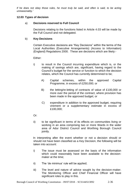*If he does not obey those rules, he must truly be said, and often is said, to be acting unreasonably.'*

# **12.03 Types of decision**

# a) **Decisions reserved to Full Council**

Decisions relating to the functions listed in Article 4.03 will be made by the Full Council and not delegated.

# b) **Key Decisions**

Certain Executive decisions are "Key Decisions" within the terms of the Local Authorities (Executive Arrangements) (Access to Information) (England) Regulations 2000. These are decisions which are likely:-

Either:

- i) to result in the Council incurring expenditure which is, or the making of savings which are, significant, having regard to the Council's budget for the service or function to which the decision relates, which the Council has currently determined to be;
	- A) Capital schemes, within the approved Capital Programme, in excess of £250,000; or
	- B) the letting/re-letting of contracts of value of £100,000 or more over the period of the contract, where provision has been made in the approved budget; or
	- C) expenditure in addition to the approved budget, requiring virement or a supplementary estimate in excess of £100,000;
- Or:
- ii) to be significant in terms of its effects on communities living or working in an area comprising two or more Wards in the wider area of Adur District Council and Worthing Borough Council jointly.

In interpreting after the event whether or not a decision should or should not have been classified as a Key Decision, the following will be taken into account:

- i) The issue must be assessed on the basis of the information which could reasonably have been available to the decisionmaker at the time;
- ii) The 'de minimus' rule will be applied;
- iii) The level and nature of advice sought by the decision-maker. The Monitoring Officer and Chief Financial Officer will have significant roles to play in this.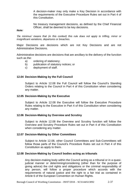A decision-maker may only make a Key Decision in accordance with the requirements of the Executive Procedure Rules set out in Part 4 of this Constitution.

No treasury management decisions, as defined by the Chief Financial Officer, shall be deemed to be key decisions.

#### *Note:*

*'De minimus' means that (in this context) this rule does not apply to trifling, minor or insignificant variations, departures or breaches.*

Major Decisions are decisions which are not Key Decisions and are not Administrative Decisions.

Administrative decisions are decisions that are ancillary to the delivery of the function such as the:

- a) ordering of stationery;
- b) publication of statutory notices; or
- c) deployment of staff.

#### **12.04 Decision-Making by the Full Council**

Subject to Article 12.08 the Full Council will follow the Council's Standing Orders relating to the Council in Part 4 of this Constitution when considering any matter.

#### **12.05 Decision-Making by the Executive**

Subject to Article 12.08 the Executive will follow the Executive Procedure Rules relating to the Executive in Part 4 of this Constitution when considering any matter.

#### **12.06 Decision-Making by Overview and Scrutiny**

Subject to Article 12.08 the Overview and Scrutiny function will follow the Overview and Scrutiny Procedure Rules set out in Part 4 of this Constitution when considering any matter.

#### **12.07 Decision-Making by Other Committees**

Subject to Article 12.08, other Council Committees and Sub-Committees will follow those parts of the Council's Procedure Rules set out in Part 4 of this Constitution as apply to them.

#### **12.08 Decision-Making by Council bodies acting as tribunals**

Any decision-making body within the Council acting as a tribunal or in a quasijudicial manner or determining/considering (other than for the purpose of giving advice) the civil rights and obligations or the criminal responsibility of any person, will follow a proper procedure which accords with the requirements of natural justice and the right to a fair trial as contained in Article 6 of the European Convention on Human Rights.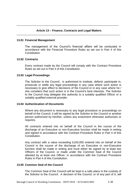# **Article 13 – Finance, Contracts and Legal Matters** \_\_\_\_\_\_\_\_\_\_\_\_\_\_\_\_\_\_\_\_\_\_\_\_\_\_\_\_\_\_\_\_\_\_\_\_\_\_\_\_\_\_\_\_\_\_\_\_\_\_\_\_\_\_\_\_\_\_\_\_\_\_\_\_\_\_\_

\_\_\_\_\_\_\_\_\_\_\_\_\_\_\_\_\_\_\_\_\_\_\_\_\_\_\_\_\_\_\_\_\_\_\_\_\_\_\_\_\_\_\_\_\_\_\_\_\_\_\_\_\_\_\_\_\_\_\_\_\_\_\_\_\_\_

#### **13.01 Financial Management**

The management of the Council's financial affairs will be conducted in accordance with the Financial Procedure Rules as set out in Part 4 of this **Constitution** 

#### **13.02 Contracts**

Every contract made by the Council will comply with the Contract Procedure Rules as set out in Part 4 of this Constitution.

# **13.03 Legal Proceedings**

The Solicitor to the Council, is authorised to institute, defend, participate in, prosecute or settle any legal proceedings in any case where such action is necessary to give effect to decisions of the Council or in any case where he / she considers that such action is in the Council's best interests. The Solicitor to the Council may delegate this authority to a suitably qualified Officer or a suitably qualified external provider.

# **13.04 Authentication of Documents**

Where any document is necessary to any legal procedure or proceedings on behalf of the Council, it will be signed by the Solicitor to the Council or another person authorised by him/her, unless any enactment otherwise authorises or requires.

All contracts entered into on behalf of the Council in the course of the discharge of an Executive or non-Executive function shall be made in writing and signed in accordance with the Contract Procedure Rules in Part 4 of this **Constitution** 

Any contract with a value exceeding £100,000 entered into on behalf of the Council in the course of the discharge of an Executive or non-Executive function shall be made in writing and must either be signed by at least two Officers of the Council, or made under the Common Seal of the Council attested by at least one Officer, in accordance with the Contract Procedure Rules in Part 4 of this Constitution.

# **13.05 Common Seal of the Council**

The Common Seal of the Council will be kept in a safe place in the custody of the Solicitor to the Council. A decision of the Council, or of any part of it, will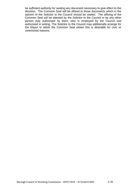be sufficient authority for sealing any document necessary to give effect to the decision. The Common Seal will be affixed to those documents which in the opinion of the Solicitor to the Council should be sealed. The affixing of the Common Seal will be attested by the Solicitor to the Council or by any other person duly authorised by them, who is employed by the Council and authorised in writing. The Solicitor to the Council may additionally arrange for the Mayor to attest the Common Seal where this is desirable for civic or ceremonial reasons.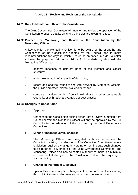# **14.01 Duty to Monitor and Review the Constitution**

The Joint Governance Committee will monitor and review the operation of the Constitution to ensure that its aims and principles are given full effect.

# **14.02 Protocol for Monitoring and Review of the Constitution by the Monitoring Officer**

A key role for the Monitoring Officer is to be aware of the strengths and weaknesses of the Constitution adopted by the Council, and to make recommendations for ways in which it could be amended in order to better achieve the purposes set out in Article 1. In undertaking this task the Monitoring Officer may:

- 1. observe meetings of different parts of the Member and Officer structure;
- 2. undertake an audit of a sample of decisions;
- 3. record and analyse issues raised with him/her by Members, Officers, the public and other relevant stakeholders; and
- 4. compare practices in this Council with those in other comparable Councils, or with national examples of best practice.

# **14.03 Changes to Constitution**

#### a) **Approval**

Changes to the Constitution arising either from a review, a motion from Council or from the Monitoring Officer will only be approved by the Full Council after consideration of the proposal by the Joint Governance Committee.

#### b) **Minor or inconsequential changes**

The Monitoring Officer has delegated authority to update the Constitution arising from decisions of the Council or Executive or where legislation requires a change in wording or terminology, such changes to be reported to Members of the Joint Governance Committee. The Monitoring Officer also has delegated authority to make 'de minimus' inconsequential changes to the Constitution, without the requiring of such reporting.

#### c) **Change in the form of Executive**

Special Procedures apply to changes in the form of Executive including (but not limited to) binding referendums when the law requires.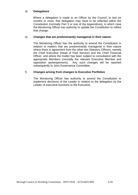# d) **Delegations**

Where a delegation is made to an Officer by the Council, to last six months or more, that delegation may need to be reflected within the Constitution (normally Part 3 or one of the Appendices), in which case the Monitoring Officer has authority to update the Constitution to reflect that change.

## e) **Changes that are predominantly managerial in their nature:**

The Monitoring Officer has the authority to amend the Constitution in relation to matters that are predominantly managerial in their nature where there is agreement from the other two Statutory Officers, namely the Chief Executive (Head of Paid Service) and the Chief Financial Officer, and where the matter has been subject to consultation with the appropriate Members (normally the relevant Executive Member and opposition spokespersons). Any such changes will be reported subsequently to Joint Governance Committee.

# f) **Changes arising from changes to Executive Portfolios**

The Monitoring Officer has authority to amend the Constitution to implement decisions of the Leader in relation to the delegation by the Leader of executive functions to the Executive.